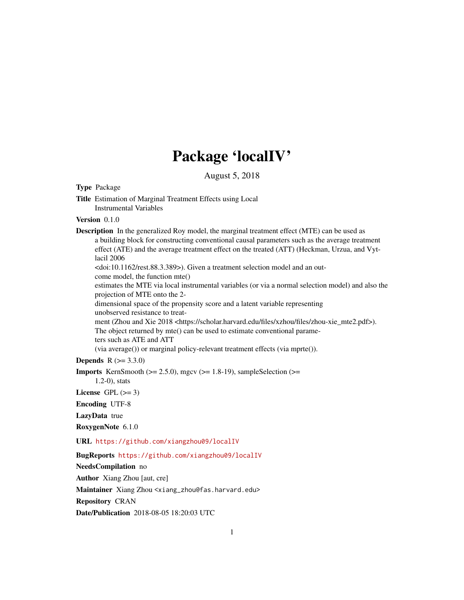## Package 'localIV'

August 5, 2018

<span id="page-0-0"></span>Type Package

Title Estimation of Marginal Treatment Effects using Local Instrumental Variables

Version 0.1.0

Description In the generalized Roy model, the marginal treatment effect (MTE) can be used as a building block for constructing conventional causal parameters such as the average treatment effect (ATE) and the average treatment effect on the treated (ATT) (Heckman, Urzua, and Vytlacil 2006 <doi:10.1162/rest.88.3.389>). Given a treatment selection model and an outcome model, the function mte() estimates the MTE via local instrumental variables (or via a normal selection model) and also the projection of MTE onto the 2 dimensional space of the propensity score and a latent variable representing unobserved resistance to treatment (Zhou and Xie 2018 <https://scholar.harvard.edu/files/xzhou/files/zhou-xie\_mte2.pdf>). The object returned by mte() can be used to estimate conventional parameters such as ATE and ATT (via average()) or marginal policy-relevant treatment effects (via mprte()).

**Depends** R  $(>= 3.3.0)$ 

**Imports** KernSmooth ( $>= 2.5.0$ ), mgcv ( $>= 1.8-19$ ), sampleSelection ( $>=$ 

1.2-0), stats

License GPL  $(>= 3)$ 

Encoding UTF-8

LazyData true

RoxygenNote 6.1.0

URL <https://github.com/xiangzhou09/localIV>

BugReports <https://github.com/xiangzhou09/localIV>

NeedsCompilation no

Author Xiang Zhou [aut, cre]

Maintainer Xiang Zhou <xiang\_zhou@fas.harvard.edu>

Repository CRAN

Date/Publication 2018-08-05 18:20:03 UTC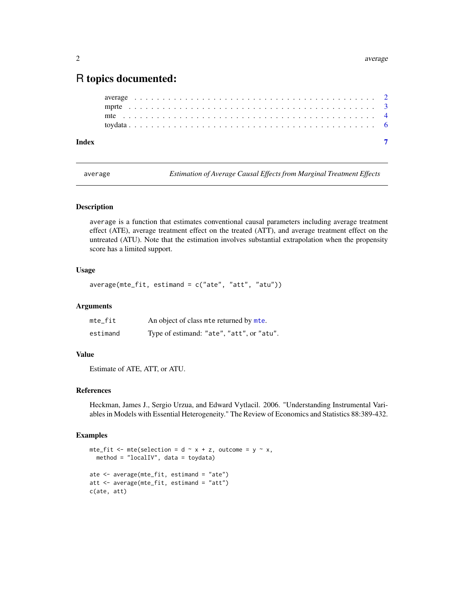### <span id="page-1-0"></span>R topics documented:

| Index |  |  |  |  |  |  |  |  |  |  |  |  |  |  |  |  |  |  |  |  |  |  |  |
|-------|--|--|--|--|--|--|--|--|--|--|--|--|--|--|--|--|--|--|--|--|--|--|--|

average *Estimation of Average Causal Effects from Marginal Treatment Effects*

#### Description

average is a function that estimates conventional causal parameters including average treatment effect (ATE), average treatment effect on the treated (ATT), and average treatment effect on the untreated (ATU). Note that the estimation involves substantial extrapolation when the propensity score has a limited support.

### Usage

 $average(mte_fit, estimand = c("ate", "att", "atu"))$ 

#### Arguments

| mte_fit  | An object of class mte returned by mte.   |
|----------|-------------------------------------------|
| estimand | Type of estimand: "ate", "att", or "atu". |

#### Value

Estimate of ATE, ATT, or ATU.

#### References

Heckman, James J., Sergio Urzua, and Edward Vytlacil. 2006. "Understanding Instrumental Variables in Models with Essential Heterogeneity." The Review of Economics and Statistics 88:389-432.

#### Examples

```
mte_fit <- mte(selection = d \sim x + z, outcome = y \sim x,
  method = "localIV", data = toydata)
ate <- average(mte_fit, estimand = "ate")
att <- average(mte_fit, estimand = "att")
c(ate, att)
```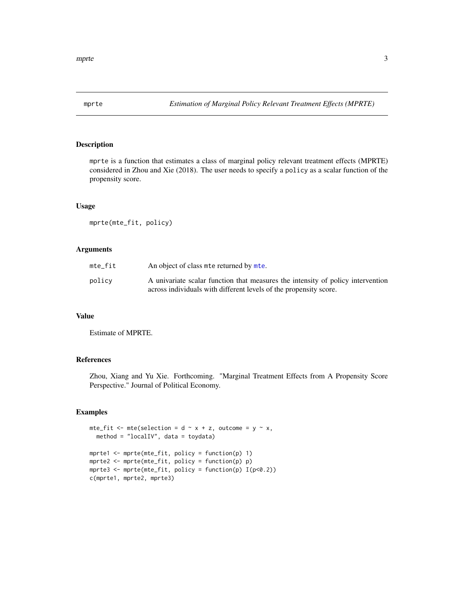<span id="page-2-0"></span>

#### Description

mprte is a function that estimates a class of marginal policy relevant treatment effects (MPRTE) considered in Zhou and Xie (2018). The user needs to specify a policy as a scalar function of the propensity score.

#### Usage

mprte(mte\_fit, policy)

#### Arguments

| mte fit | An object of class mte returned by mte.                                                                                                              |
|---------|------------------------------------------------------------------------------------------------------------------------------------------------------|
| policv  | A univariate scalar function that measures the intensity of policy intervention<br>across individuals with different levels of the propensity score. |

#### Value

Estimate of MPRTE.

#### References

Zhou, Xiang and Yu Xie. Forthcoming. "Marginal Treatment Effects from A Propensity Score Perspective." Journal of Political Economy.

#### Examples

```
mte_fit <- mte(selection = d \sim x + z, outcome = y \sim x,
  method = "localIV", data = toydata)
mprte1 <- mprte(mte_fit, policy = function(p) 1)
mprte2 <- mprte(mte_fit, policy = function(p) p)
mprte3 <- mprte(mte_fit, policy = function(p) I(p<0.2))
c(mprte1, mprte2, mprte3)
```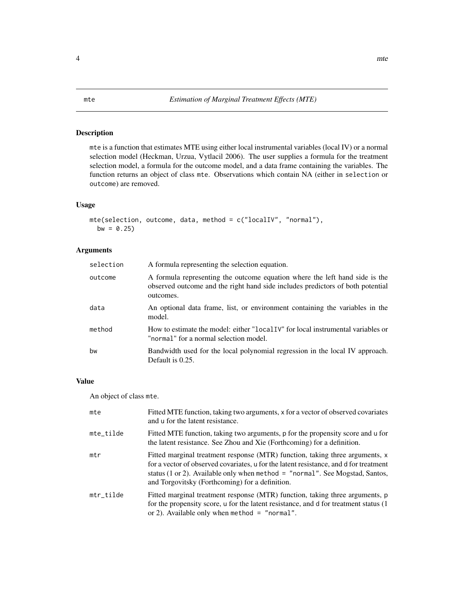### <span id="page-3-1"></span><span id="page-3-0"></span>Description

mte is a function that estimates MTE using either local instrumental variables (local IV) or a normal selection model (Heckman, Urzua, Vytlacil 2006). The user supplies a formula for the treatment selection model, a formula for the outcome model, and a data frame containing the variables. The function returns an object of class mte. Observations which contain NA (either in selection or outcome) are removed.

### Usage

```
mte(selection, outcome, data, method = c("localIV", "normal"),
 bw = 0.25
```
### Arguments

| A formula representing the selection equation.                                                                                                                             |
|----------------------------------------------------------------------------------------------------------------------------------------------------------------------------|
| A formula representing the outcome equation where the left hand side is the<br>observed outcome and the right hand side includes predictors of both potential<br>outcomes. |
| An optional data frame, list, or environment containing the variables in the<br>model.                                                                                     |
| How to estimate the model: either "local IV" for local instrumental variables or<br>"normal" for a normal selection model.                                                 |
| Bandwidth used for the local polynomial regression in the local IV approach.<br>Default is 0.25.                                                                           |
|                                                                                                                                                                            |

#### Value

An object of class mte.

| mte       | Fitted MTE function, taking two arguments, x for a vector of observed covariates<br>and u for the latent resistance.                                                                                                                                                                                       |
|-----------|------------------------------------------------------------------------------------------------------------------------------------------------------------------------------------------------------------------------------------------------------------------------------------------------------------|
| mte_tilde | Fitted MTE function, taking two arguments, p for the propensity score and u for<br>the latent resistance. See Zhou and Xie (Forthcoming) for a definition.                                                                                                                                                 |
| mtr       | Fitted marginal treatment response (MTR) function, taking three arguments, x<br>for a vector of observed covariates, u for the latent resistance, and d for treatment<br>status (1 or 2). Available only when method $=$ "normal". See Mogstad, Santos,<br>and Torgovitsky (Forthcoming) for a definition. |
| mtr_tilde | Fitted marginal treatment response (MTR) function, taking three arguments, p<br>for the propensity score, u for the latent resistance, and d for treatment status (1)<br>or 2). Available only when method $=$ "normal".                                                                                   |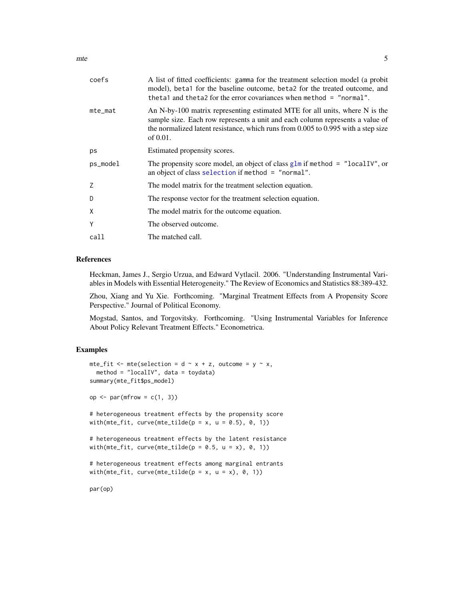<span id="page-4-0"></span>

| coefs      | A list of fitted coefficients: gamma for the treatment selection model (a probit<br>model), beta1 for the baseline outcome, beta2 for the treated outcome, and<br>theta1 and theta2 for the error covariances when method = "normal".                             |
|------------|-------------------------------------------------------------------------------------------------------------------------------------------------------------------------------------------------------------------------------------------------------------------|
| $mte\_mat$ | An N-by-100 matrix representing estimated MTE for all units, where N is the<br>sample size. Each row represents a unit and each column represents a value of<br>the normalized latent resistance, which runs from $0.005$ to $0.995$ with a step size<br>of 0.01. |
| ps         | Estimated propensity scores.                                                                                                                                                                                                                                      |
| ps_model   | The propensity score model, an object of class $g \ln n$ if method = "localIV", or<br>an object of class selection if method = "normal".                                                                                                                          |
| Z          | The model matrix for the treatment selection equation.                                                                                                                                                                                                            |
| D          | The response vector for the treatment selection equation.                                                                                                                                                                                                         |
| X          | The model matrix for the outcome equation.                                                                                                                                                                                                                        |
| Υ          | The observed outcome.                                                                                                                                                                                                                                             |
| call       | The matched call.                                                                                                                                                                                                                                                 |
|            |                                                                                                                                                                                                                                                                   |

#### References

Heckman, James J., Sergio Urzua, and Edward Vytlacil. 2006. "Understanding Instrumental Variables in Models with Essential Heterogeneity." The Review of Economics and Statistics 88:389-432.

Zhou, Xiang and Yu Xie. Forthcoming. "Marginal Treatment Effects from A Propensity Score Perspective." Journal of Political Economy.

Mogstad, Santos, and Torgovitsky. Forthcoming. "Using Instrumental Variables for Inference About Policy Relevant Treatment Effects." Econometrica.

#### Examples

```
mte_fit <- mte(selection = d \sim x + z, outcome = y \sim x,
  method = "localIV", data = toydata)
summary(mte_fit$ps_model)
op \leq par(mfrow = c(1, 3))
# heterogeneous treatment effects by the propensity score
with(mte_fit, curve(mte_tilde(p = x, u = 0.5), 0, 1))
# heterogeneous treatment effects by the latent resistance
with(mte_fit, curve(mte_tilde(p = 0.5, u = x), 0, 1))
# heterogeneous treatment effects among marginal entrants
```

```
with(mte_fit, curve(mte_tilde(p = x, u = x), 0, 1))
```
par(op)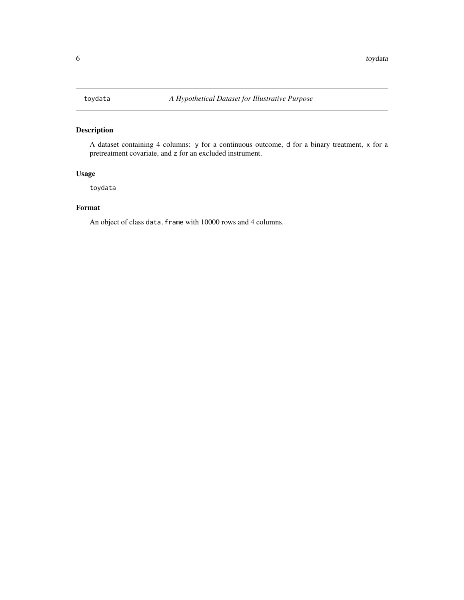### <span id="page-5-0"></span>Description

A dataset containing 4 columns: y for a continuous outcome, d for a binary treatment, x for a pretreatment covariate, and z for an excluded instrument.

### Usage

toydata

#### Format

An object of class data. frame with 10000 rows and 4 columns.